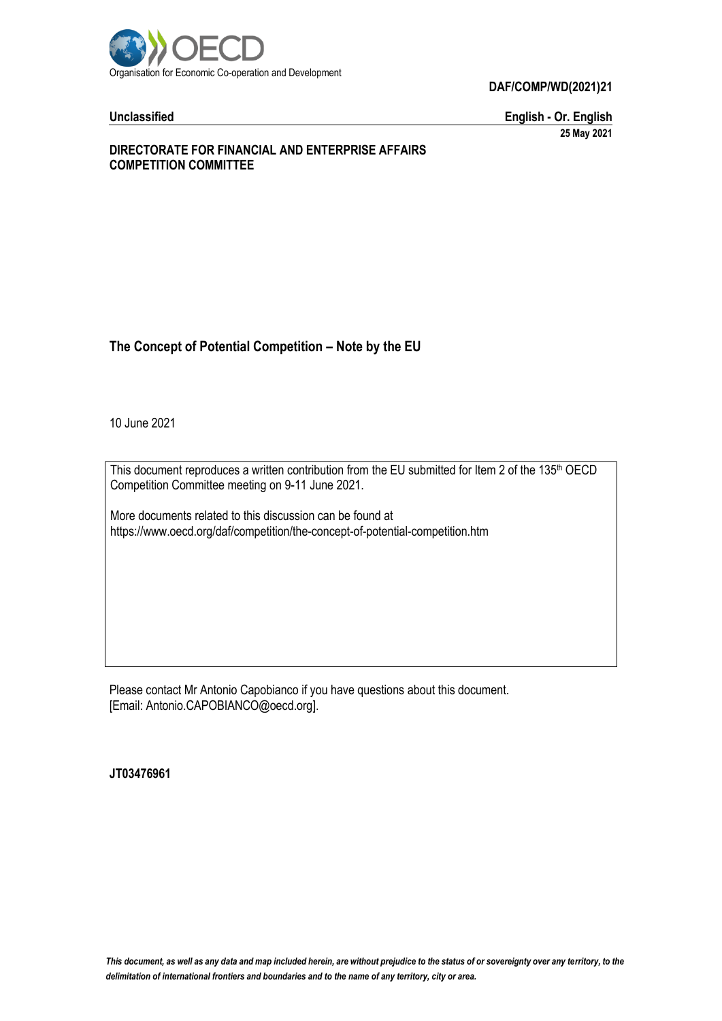

**Unclassified English - Or. English 25 May 2021**

#### **DIRECTORATE FOR FINANCIAL AND ENTERPRISE AFFAIRS COMPETITION COMMITTEE**

# **The Concept of Potential Competition – Note by the EU**

10 June 2021

This document reproduces a written contribution from the EU submitted for Item 2 of the 135<sup>th</sup> OECD Competition Committee meeting on 9-11 June 2021.

More documents related to this discussion can be found at https://www.oecd.org/daf/competition/the-concept-of-potential-competition.htm

Please contact Mr Antonio Capobianco if you have questions about this document. [Email: Antonio.CAPOBIANCO@oecd.org].

**JT03476961**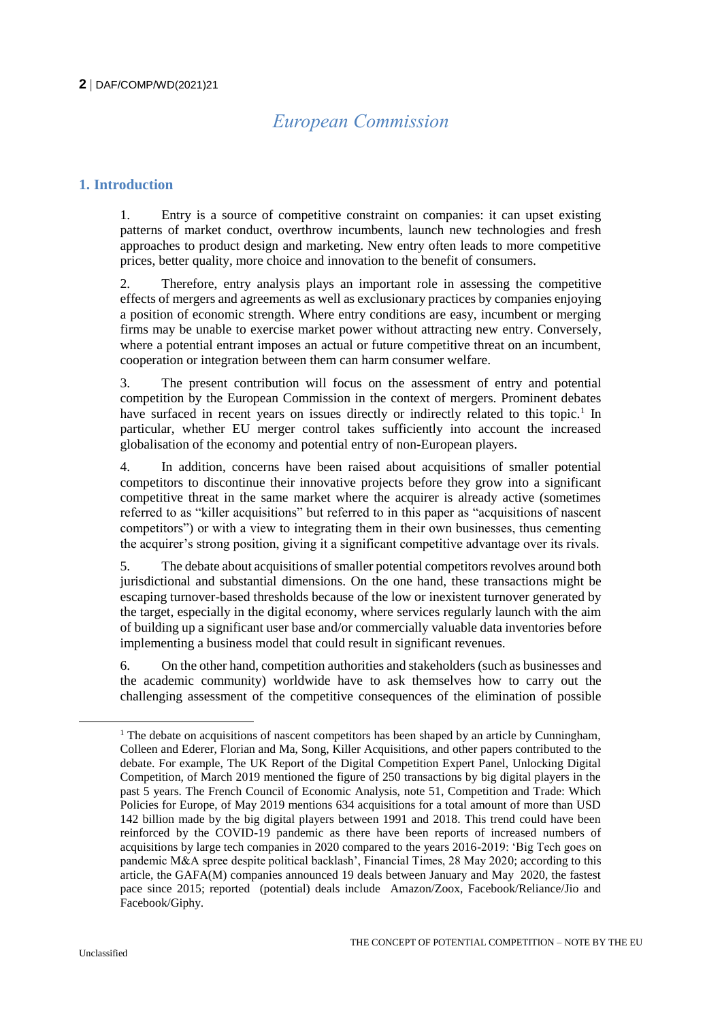# *European Commission*

# **1. Introduction**

1. Entry is a source of competitive constraint on companies: it can upset existing patterns of market conduct, overthrow incumbents, launch new technologies and fresh approaches to product design and marketing. New entry often leads to more competitive prices, better quality, more choice and innovation to the benefit of consumers.

2. Therefore, entry analysis plays an important role in assessing the competitive effects of mergers and agreements as well as exclusionary practices by companies enjoying a position of economic strength. Where entry conditions are easy, incumbent or merging firms may be unable to exercise market power without attracting new entry. Conversely, where a potential entrant imposes an actual or future competitive threat on an incumbent, cooperation or integration between them can harm consumer welfare.

3. The present contribution will focus on the assessment of entry and potential competition by the European Commission in the context of mergers. Prominent debates have surfaced in recent years on issues directly or indirectly related to this topic.<sup>1</sup> In particular, whether EU merger control takes sufficiently into account the increased globalisation of the economy and potential entry of non-European players.

4. In addition, concerns have been raised about acquisitions of smaller potential competitors to discontinue their innovative projects before they grow into a significant competitive threat in the same market where the acquirer is already active (sometimes referred to as "killer acquisitions" but referred to in this paper as "acquisitions of nascent competitors") or with a view to integrating them in their own businesses, thus cementing the acquirer's strong position, giving it a significant competitive advantage over its rivals.

5. The debate about acquisitions of smaller potential competitors revolves around both jurisdictional and substantial dimensions. On the one hand, these transactions might be escaping turnover-based thresholds because of the low or inexistent turnover generated by the target, especially in the digital economy, where services regularly launch with the aim of building up a significant user base and/or commercially valuable data inventories before implementing a business model that could result in significant revenues.

6. On the other hand, competition authorities and stakeholders (such as businesses and the academic community) worldwide have to ask themselves how to carry out the challenging assessment of the competitive consequences of the elimination of possible

<sup>&</sup>lt;sup>1</sup> The debate on acquisitions of nascent competitors has been shaped by an article by Cunningham, Colleen and Ederer, Florian and Ma, Song, Killer Acquisitions, and other papers contributed to the debate. For example, The UK Report of the Digital Competition Expert Panel, Unlocking Digital Competition, of March 2019 mentioned the figure of 250 transactions by big digital players in the past 5 years. The French Council of Economic Analysis, note 51, Competition and Trade: Which Policies for Europe, of May 2019 mentions 634 acquisitions for a total amount of more than USD 142 billion made by the big digital players between 1991 and 2018. This trend could have been reinforced by the COVID-19 pandemic as there have been reports of increased numbers of acquisitions by large tech companies in 2020 compared to the years 2016-2019: 'Big Tech goes on pandemic M&A spree despite political backlash', Financial Times, 28 May 2020; according to this article, the GAFA(M) companies announced 19 deals between January and May 2020, the fastest pace since 2015; reported (potential) deals include Amazon/Zoox, Facebook/Reliance/Jio and Facebook/Giphy.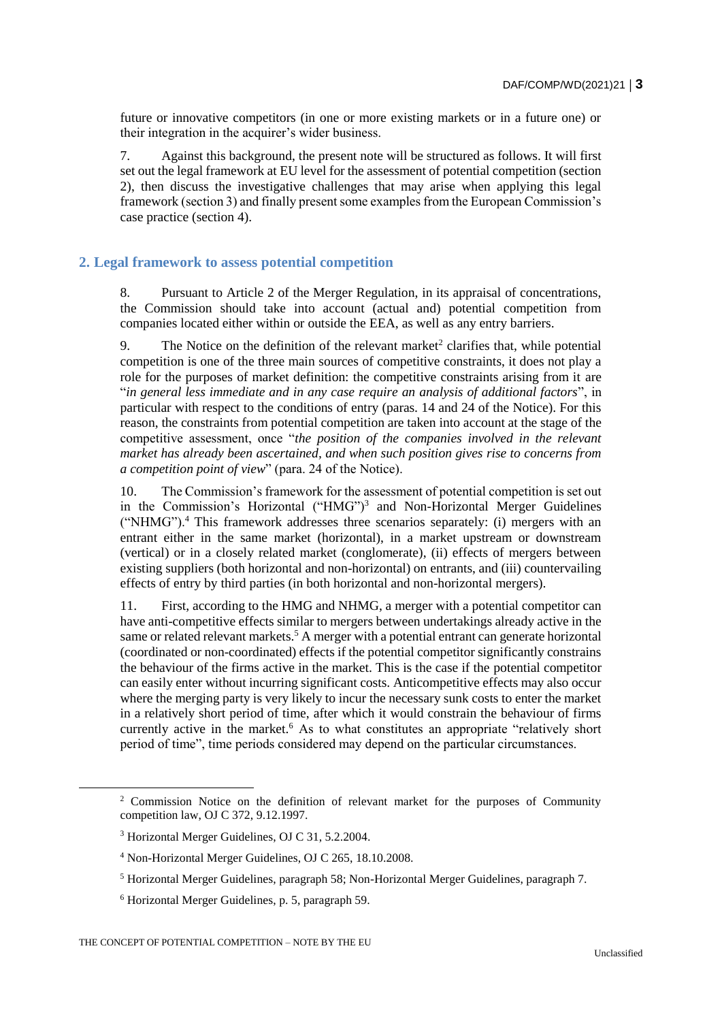future or innovative competitors (in one or more existing markets or in a future one) or their integration in the acquirer's wider business.

7. Against this background, the present note will be structured as follows. It will first set out the legal framework at EU level for the assessment of potential competition (section 2), then discuss the investigative challenges that may arise when applying this legal framework (section 3) and finally present some examples from the European Commission's case practice (section 4).

#### **2. Legal framework to assess potential competition**

8. Pursuant to Article 2 of the Merger Regulation, in its appraisal of concentrations, the Commission should take into account (actual and) potential competition from companies located either within or outside the EEA, as well as any entry barriers.

9. The Notice on the definition of the relevant market<sup>2</sup> clarifies that, while potential competition is one of the three main sources of competitive constraints, it does not play a role for the purposes of market definition: the competitive constraints arising from it are "*in general less immediate and in any case require an analysis of additional factors*", in particular with respect to the conditions of entry (paras. 14 and 24 of the Notice). For this reason, the constraints from potential competition are taken into account at the stage of the competitive assessment, once "*the position of the companies involved in the relevant market has already been ascertained, and when such position gives rise to concerns from a competition point of view*" (para. 24 of the Notice).

10. The Commission's framework for the assessment of potential competition is set out in the Commission's Horizontal ("HMG")<sup>3</sup> and Non-Horizontal Merger Guidelines ("NHMG").<sup>4</sup> This framework addresses three scenarios separately: (i) mergers with an entrant either in the same market (horizontal), in a market upstream or downstream (vertical) or in a closely related market (conglomerate), (ii) effects of mergers between existing suppliers (both horizontal and non-horizontal) on entrants, and (iii) countervailing effects of entry by third parties (in both horizontal and non-horizontal mergers).

11. First, according to the HMG and NHMG, a merger with a potential competitor can have anti-competitive effects similar to mergers between undertakings already active in the same or related relevant markets.<sup>5</sup> A merger with a potential entrant can generate horizontal (coordinated or non-coordinated) effects if the potential competitor significantly constrains the behaviour of the firms active in the market. This is the case if the potential competitor can easily enter without incurring significant costs. Anticompetitive effects may also occur where the merging party is very likely to incur the necessary sunk costs to enter the market in a relatively short period of time, after which it would constrain the behaviour of firms currently active in the market.<sup>6</sup> As to what constitutes an appropriate "relatively short period of time", time periods considered may depend on the particular circumstances.

<sup>&</sup>lt;sup>2</sup> Commission Notice on the definition of relevant market for the purposes of Community competition law, OJ C 372, 9.12.1997.

<sup>3</sup> Horizontal Merger Guidelines, OJ C 31, 5.2.2004.

<sup>4</sup> Non-Horizontal Merger Guidelines, OJ C 265, 18.10.2008.

<sup>5</sup> Horizontal Merger Guidelines, paragraph 58; Non-Horizontal Merger Guidelines, paragraph 7.

<sup>6</sup> Horizontal Merger Guidelines, p. 5, paragraph 59.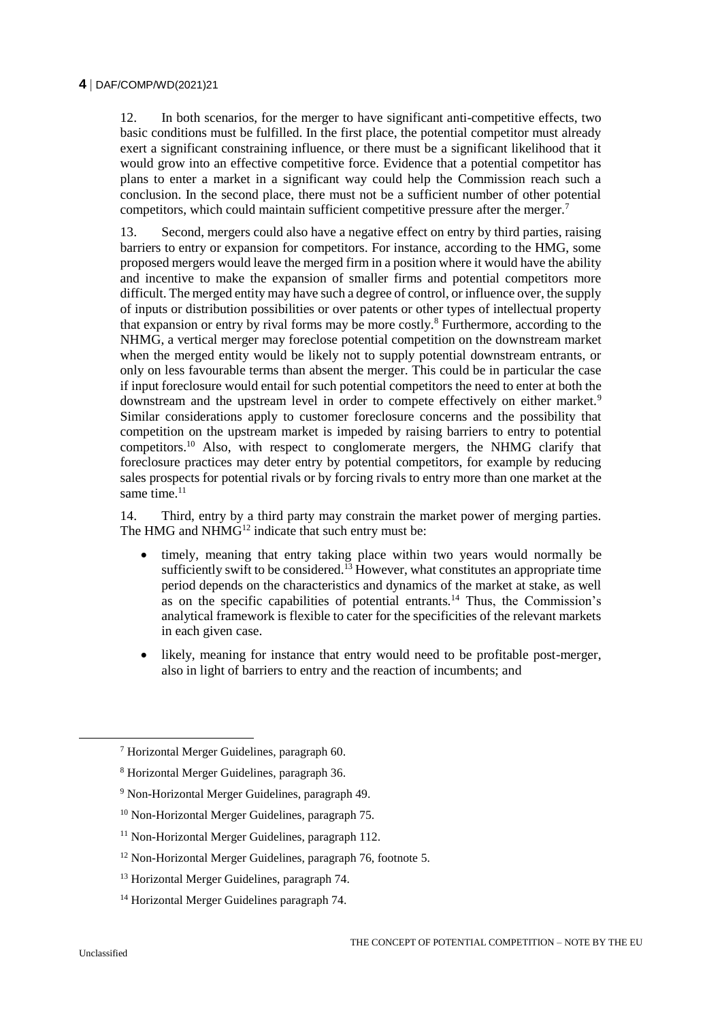12. In both scenarios, for the merger to have significant anti-competitive effects, two basic conditions must be fulfilled. In the first place, the potential competitor must already exert a significant constraining influence, or there must be a significant likelihood that it would grow into an effective competitive force. Evidence that a potential competitor has plans to enter a market in a significant way could help the Commission reach such a conclusion. In the second place, there must not be a sufficient number of other potential competitors, which could maintain sufficient competitive pressure after the merger.<sup>7</sup>

13. Second, mergers could also have a negative effect on entry by third parties, raising barriers to entry or expansion for competitors. For instance, according to the HMG, some proposed mergers would leave the merged firm in a position where it would have the ability and incentive to make the expansion of smaller firms and potential competitors more difficult. The merged entity may have such a degree of control, or influence over, the supply of inputs or distribution possibilities or over patents or other types of intellectual property that expansion or entry by rival forms may be more costly.<sup>8</sup> Furthermore, according to the NHMG, a vertical merger may foreclose potential competition on the downstream market when the merged entity would be likely not to supply potential downstream entrants, or only on less favourable terms than absent the merger. This could be in particular the case if input foreclosure would entail for such potential competitors the need to enter at both the downstream and the upstream level in order to compete effectively on either market.<sup>9</sup> Similar considerations apply to customer foreclosure concerns and the possibility that competition on the upstream market is impeded by raising barriers to entry to potential competitors.<sup>10</sup> Also, with respect to conglomerate mergers, the NHMG clarify that foreclosure practices may deter entry by potential competitors, for example by reducing sales prospects for potential rivals or by forcing rivals to entry more than one market at the same time. $11$ 

14. Third, entry by a third party may constrain the market power of merging parties. The HMG and NHMG<sup>12</sup> indicate that such entry must be:

- timely, meaning that entry taking place within two years would normally be sufficiently swift to be considered.<sup>13</sup> However, what constitutes an appropriate time period depends on the characteristics and dynamics of the market at stake, as well as on the specific capabilities of potential entrants.<sup>14</sup> Thus, the Commission's analytical framework is flexible to cater for the specificities of the relevant markets in each given case.
- likely, meaning for instance that entry would need to be profitable post-merger, also in light of barriers to entry and the reaction of incumbents; and

<sup>7</sup> Horizontal Merger Guidelines, paragraph 60.

<sup>8</sup> Horizontal Merger Guidelines, paragraph 36.

<sup>9</sup> Non-Horizontal Merger Guidelines, paragraph 49.

<sup>10</sup> Non-Horizontal Merger Guidelines, paragraph 75.

<sup>&</sup>lt;sup>11</sup> Non-Horizontal Merger Guidelines, paragraph 112.

<sup>12</sup> Non-Horizontal Merger Guidelines, paragraph 76, footnote 5.

<sup>13</sup> Horizontal Merger Guidelines, paragraph 74.

<sup>&</sup>lt;sup>14</sup> Horizontal Merger Guidelines paragraph 74.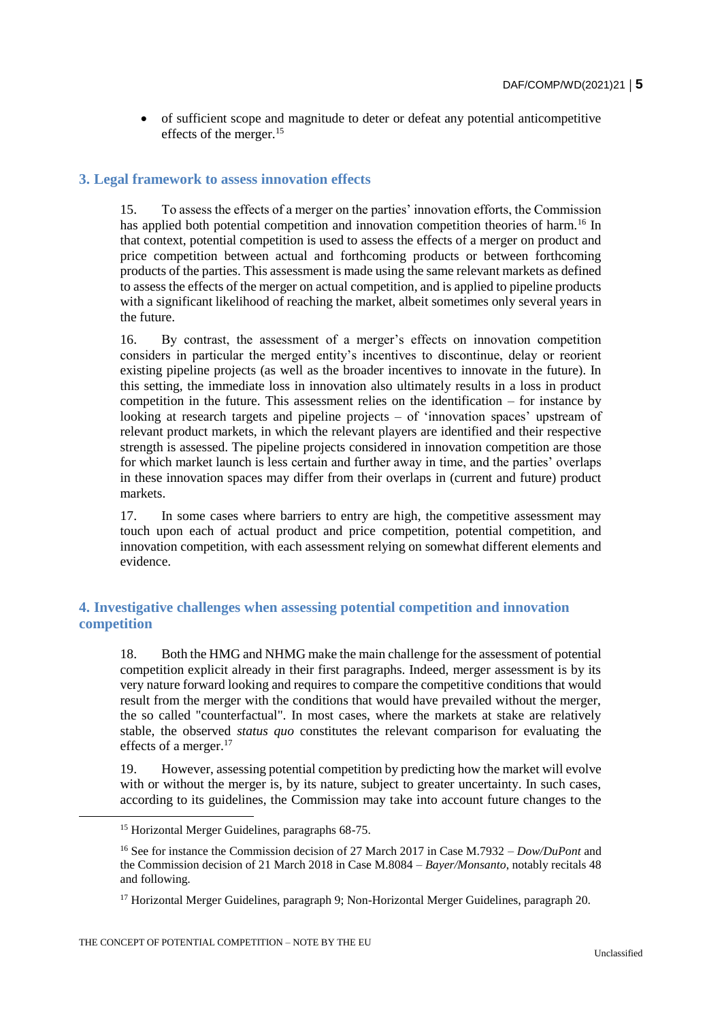of sufficient scope and magnitude to deter or defeat any potential anticompetitive effects of the merger.<sup>15</sup>

#### **3. Legal framework to assess innovation effects**

15. To assess the effects of a merger on the parties' innovation efforts, the Commission has applied both potential competition and innovation competition theories of harm.<sup>16</sup> In that context, potential competition is used to assess the effects of a merger on product and price competition between actual and forthcoming products or between forthcoming products of the parties. This assessment is made using the same relevant markets as defined to assess the effects of the merger on actual competition, and is applied to pipeline products with a significant likelihood of reaching the market, albeit sometimes only several years in the future.

16. By contrast, the assessment of a merger's effects on innovation competition considers in particular the merged entity's incentives to discontinue, delay or reorient existing pipeline projects (as well as the broader incentives to innovate in the future). In this setting, the immediate loss in innovation also ultimately results in a loss in product competition in the future. This assessment relies on the identification – for instance by looking at research targets and pipeline projects – of 'innovation spaces' upstream of relevant product markets, in which the relevant players are identified and their respective strength is assessed. The pipeline projects considered in innovation competition are those for which market launch is less certain and further away in time, and the parties' overlaps in these innovation spaces may differ from their overlaps in (current and future) product markets.

17. In some cases where barriers to entry are high, the competitive assessment may touch upon each of actual product and price competition, potential competition, and innovation competition, with each assessment relying on somewhat different elements and evidence.

# **4. Investigative challenges when assessing potential competition and innovation competition**

18. Both the HMG and NHMG make the main challenge for the assessment of potential competition explicit already in their first paragraphs. Indeed, merger assessment is by its very nature forward looking and requires to compare the competitive conditions that would result from the merger with the conditions that would have prevailed without the merger, the so called "counterfactual". In most cases, where the markets at stake are relatively stable, the observed *status quo* constitutes the relevant comparison for evaluating the effects of a merger.<sup>17</sup>

19. However, assessing potential competition by predicting how the market will evolve with or without the merger is, by its nature, subject to greater uncertainty. In such cases, according to its guidelines, the Commission may take into account future changes to the

<sup>15</sup> Horizontal Merger Guidelines, paragraphs 68-75.

<sup>16</sup> See for instance the Commission decision of 27 March 2017 in Case M.7932 – *Dow/DuPont* and the Commission decision of 21 March 2018 in Case M.8084 – *Bayer/Monsanto*, notably recitals 48 and following*.*

<sup>&</sup>lt;sup>17</sup> Horizontal Merger Guidelines, paragraph 9; Non-Horizontal Merger Guidelines, paragraph 20.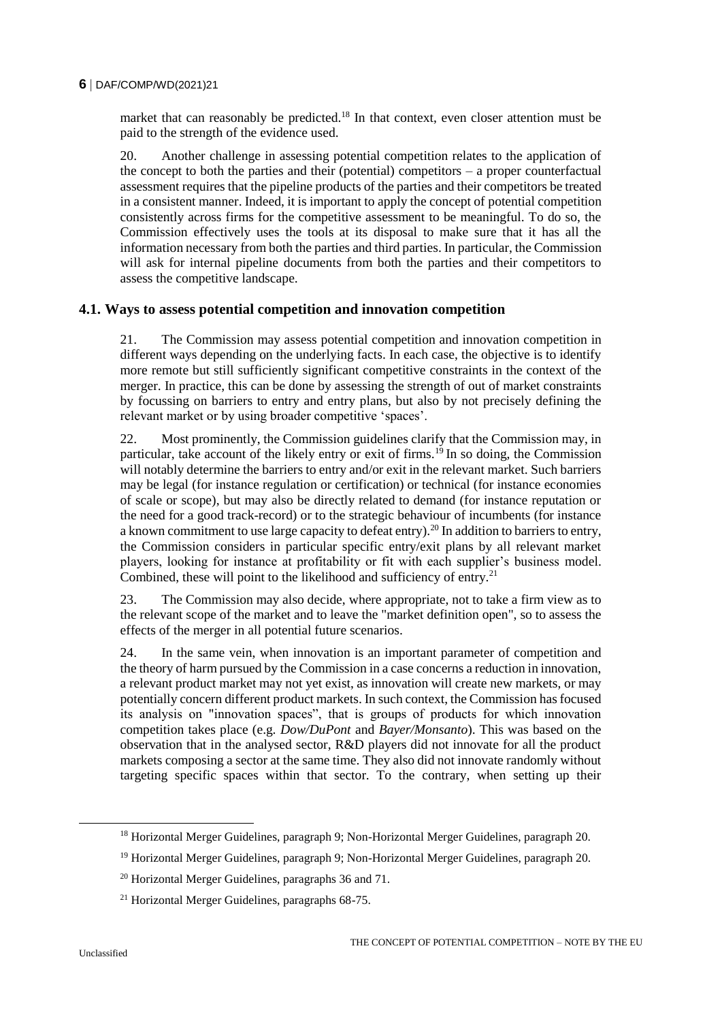market that can reasonably be predicted.<sup>18</sup> In that context, even closer attention must be paid to the strength of the evidence used.

20. Another challenge in assessing potential competition relates to the application of the concept to both the parties and their (potential) competitors – a proper counterfactual assessment requires that the pipeline products of the parties and their competitors be treated in a consistent manner. Indeed, it is important to apply the concept of potential competition consistently across firms for the competitive assessment to be meaningful. To do so, the Commission effectively uses the tools at its disposal to make sure that it has all the information necessary from both the parties and third parties. In particular, the Commission will ask for internal pipeline documents from both the parties and their competitors to assess the competitive landscape.

#### **4.1. Ways to assess potential competition and innovation competition**

21. The Commission may assess potential competition and innovation competition in different ways depending on the underlying facts. In each case, the objective is to identify more remote but still sufficiently significant competitive constraints in the context of the merger. In practice, this can be done by assessing the strength of out of market constraints by focussing on barriers to entry and entry plans, but also by not precisely defining the relevant market or by using broader competitive 'spaces'.

22. Most prominently, the Commission guidelines clarify that the Commission may, in particular, take account of the likely entry or exit of firms.<sup>19</sup> In so doing, the Commission will notably determine the barriers to entry and/or exit in the relevant market. Such barriers may be legal (for instance regulation or certification) or technical (for instance economies of scale or scope), but may also be directly related to demand (for instance reputation or the need for a good track-record) or to the strategic behaviour of incumbents (for instance a known commitment to use large capacity to defeat entry).<sup>20</sup> In addition to barriers to entry, the Commission considers in particular specific entry/exit plans by all relevant market players, looking for instance at profitability or fit with each supplier's business model. Combined, these will point to the likelihood and sufficiency of entry.<sup>21</sup>

23. The Commission may also decide, where appropriate, not to take a firm view as to the relevant scope of the market and to leave the "market definition open", so to assess the effects of the merger in all potential future scenarios.

24. In the same vein, when innovation is an important parameter of competition and the theory of harm pursued by the Commission in a case concerns a reduction in innovation, a relevant product market may not yet exist, as innovation will create new markets, or may potentially concern different product markets. In such context, the Commission has focused its analysis on "innovation spaces", that is groups of products for which innovation competition takes place (e.g. *Dow/DuPont* and *Bayer/Monsanto*). This was based on the observation that in the analysed sector, R&D players did not innovate for all the product markets composing a sector at the same time. They also did not innovate randomly without targeting specific spaces within that sector. To the contrary, when setting up their

<sup>&</sup>lt;sup>18</sup> Horizontal Merger Guidelines, paragraph 9; Non-Horizontal Merger Guidelines, paragraph 20.

<sup>19</sup> Horizontal Merger Guidelines, paragraph 9; Non-Horizontal Merger Guidelines, paragraph 20.

<sup>20</sup> Horizontal Merger Guidelines, paragraphs 36 and 71.

<sup>21</sup> Horizontal Merger Guidelines, paragraphs 68-75.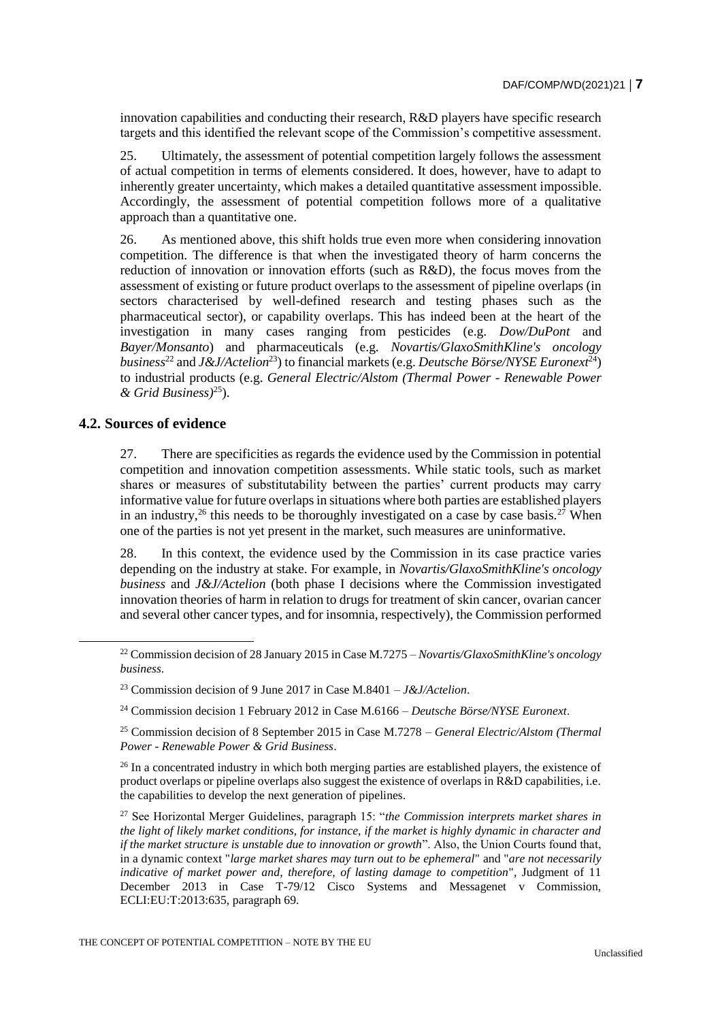innovation capabilities and conducting their research, R&D players have specific research targets and this identified the relevant scope of the Commission's competitive assessment.

25. Ultimately, the assessment of potential competition largely follows the assessment of actual competition in terms of elements considered. It does, however, have to adapt to inherently greater uncertainty, which makes a detailed quantitative assessment impossible. Accordingly, the assessment of potential competition follows more of a qualitative approach than a quantitative one.

26. As mentioned above, this shift holds true even more when considering innovation competition. The difference is that when the investigated theory of harm concerns the reduction of innovation or innovation efforts (such as R&D), the focus moves from the assessment of existing or future product overlaps to the assessment of pipeline overlaps (in sectors characterised by well-defined research and testing phases such as the pharmaceutical sector), or capability overlaps. This has indeed been at the heart of the investigation in many cases ranging from pesticides (e.g. *Dow/DuPont* and *Bayer/Monsanto*) and pharmaceuticals (e.g. *Novartis/GlaxoSmithKline's oncology business*<sup>22</sup> and *J&J/Actelion*<sup>23</sup>) to financial markets (e.g. *Deutsche Börse/NYSE Euronext*<sup>24</sup>) to industrial products (e.g. *General Electric/Alstom (Thermal Power - Renewable Power & Grid Business)*<sup>25</sup>).

# **4.2. Sources of evidence**

27. There are specificities as regards the evidence used by the Commission in potential competition and innovation competition assessments. While static tools, such as market shares or measures of substitutability between the parties' current products may carry informative value for future overlaps in situations where both parties are established players in an industry,<sup>26</sup> this needs to be thoroughly investigated on a case by case basis.<sup>27</sup> When one of the parties is not yet present in the market, such measures are uninformative.

28. In this context, the evidence used by the Commission in its case practice varies depending on the industry at stake. For example, in *Novartis/GlaxoSmithKline's oncology business* and *J&J/Actelion* (both phase I decisions where the Commission investigated innovation theories of harm in relation to drugs for treatment of skin cancer, ovarian cancer and several other cancer types, and for insomnia, respectively), the Commission performed

<sup>24</sup> Commission decision 1 February 2012 in Case M.6166 – *Deutsche Börse/NYSE Euronext*.

<sup>25</sup> Commission decision of 8 September 2015 in Case M.7278 – *General Electric/Alstom (Thermal Power - Renewable Power & Grid Business*.

<sup>26</sup> In a concentrated industry in which both merging parties are established players, the existence of product overlaps or pipeline overlaps also suggest the existence of overlaps in R&D capabilities, i.e. the capabilities to develop the next generation of pipelines.

<sup>27</sup> See Horizontal Merger Guidelines, paragraph 15: "*the Commission interprets market shares in the light of likely market conditions, for instance, if the market is highly dynamic in character and if the market structure is unstable due to innovation or growth*". Also, the Union Courts found that, in a dynamic context "*large market shares may turn out to be ephemeral*" and "*are not necessarily indicative of market power and, therefore, of lasting damage to competition*", Judgment of 11 December 2013 in Case T-79/12 Cisco Systems and Messagenet v Commission, ECLI:EU:T:2013:635, paragraph 69.

<sup>22</sup> Commission decision of 28 January 2015 in Case M.7275 – *Novartis/GlaxoSmithKline's oncology business*.

<sup>23</sup> Commission decision of 9 June 2017 in Case M.8401 – *J&J/Actelion*.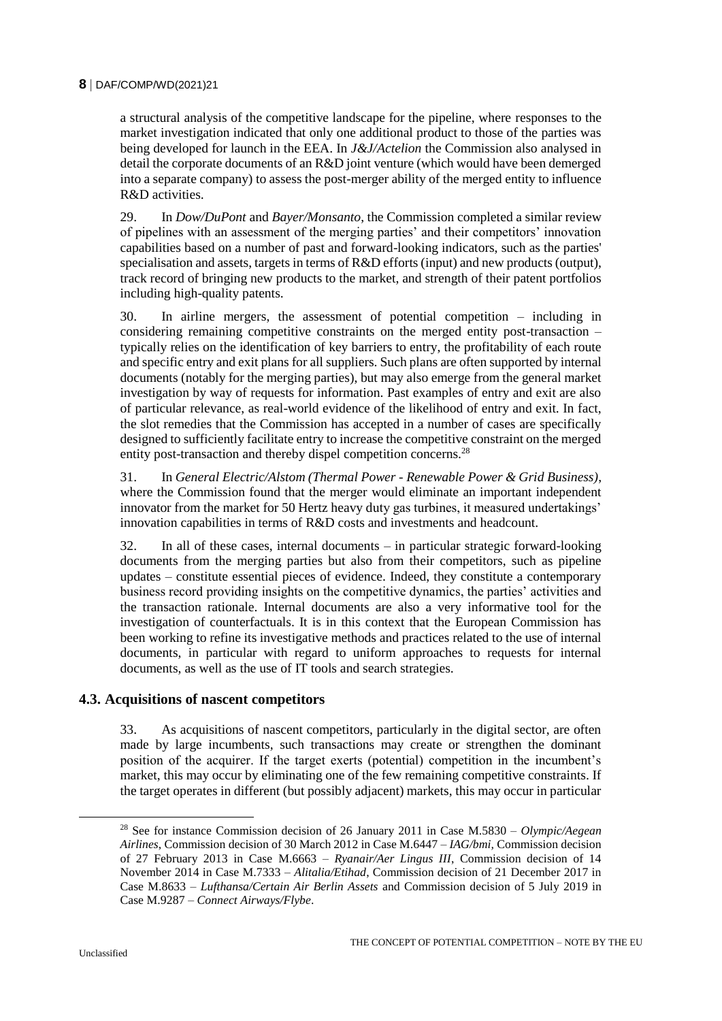a structural analysis of the competitive landscape for the pipeline, where responses to the market investigation indicated that only one additional product to those of the parties was being developed for launch in the EEA. In *J&J/Actelion* the Commission also analysed in detail the corporate documents of an R&D joint venture (which would have been demerged into a separate company) to assess the post-merger ability of the merged entity to influence R&D activities.

29. In *Dow/DuPont* and *Bayer/Monsanto*, the Commission completed a similar review of pipelines with an assessment of the merging parties' and their competitors' innovation capabilities based on a number of past and forward-looking indicators, such as the parties' specialisation and assets, targets in terms of R&D efforts (input) and new products (output), track record of bringing new products to the market, and strength of their patent portfolios including high-quality patents.

30. In airline mergers, the assessment of potential competition – including in considering remaining competitive constraints on the merged entity post-transaction – typically relies on the identification of key barriers to entry, the profitability of each route and specific entry and exit plans for all suppliers. Such plans are often supported by internal documents (notably for the merging parties), but may also emerge from the general market investigation by way of requests for information. Past examples of entry and exit are also of particular relevance, as real-world evidence of the likelihood of entry and exit. In fact, the slot remedies that the Commission has accepted in a number of cases are specifically designed to sufficiently facilitate entry to increase the competitive constraint on the merged entity post-transaction and thereby dispel competition concerns.<sup>28</sup>

31. In *General Electric/Alstom (Thermal Power - Renewable Power & Grid Business)*, where the Commission found that the merger would eliminate an important independent innovator from the market for 50 Hertz heavy duty gas turbines, it measured undertakings' innovation capabilities in terms of R&D costs and investments and headcount.

32. In all of these cases, internal documents – in particular strategic forward-looking documents from the merging parties but also from their competitors, such as pipeline updates – constitute essential pieces of evidence. Indeed, they constitute a contemporary business record providing insights on the competitive dynamics, the parties' activities and the transaction rationale. Internal documents are also a very informative tool for the investigation of counterfactuals. It is in this context that the European Commission has been working to refine its investigative methods and practices related to the use of internal documents, in particular with regard to uniform approaches to requests for internal documents, as well as the use of IT tools and search strategies.

# **4.3. Acquisitions of nascent competitors**

33. As acquisitions of nascent competitors, particularly in the digital sector, are often made by large incumbents, such transactions may create or strengthen the dominant position of the acquirer. If the target exerts (potential) competition in the incumbent's market, this may occur by eliminating one of the few remaining competitive constraints. If the target operates in different (but possibly adjacent) markets, this may occur in particular

<sup>28</sup> See for instance Commission decision of 26 January 2011 in Case M.5830 – *Olympic/Aegean Airlines*, Commission decision of 30 March 2012 in Case M.6447 – *IAG/bmi,* Commission decision of 27 February 2013 in Case M.6663 – *Ryanair/Aer Lingus III*, Commission decision of 14 November 2014 in Case M.7333 – *Alitalia/Etihad*, Commission decision of 21 December 2017 in Case M.8633 – *Lufthansa/Certain Air Berlin Assets* and Commission decision of 5 July 2019 in Case M.9287 – *Connect Airways/Flybe*.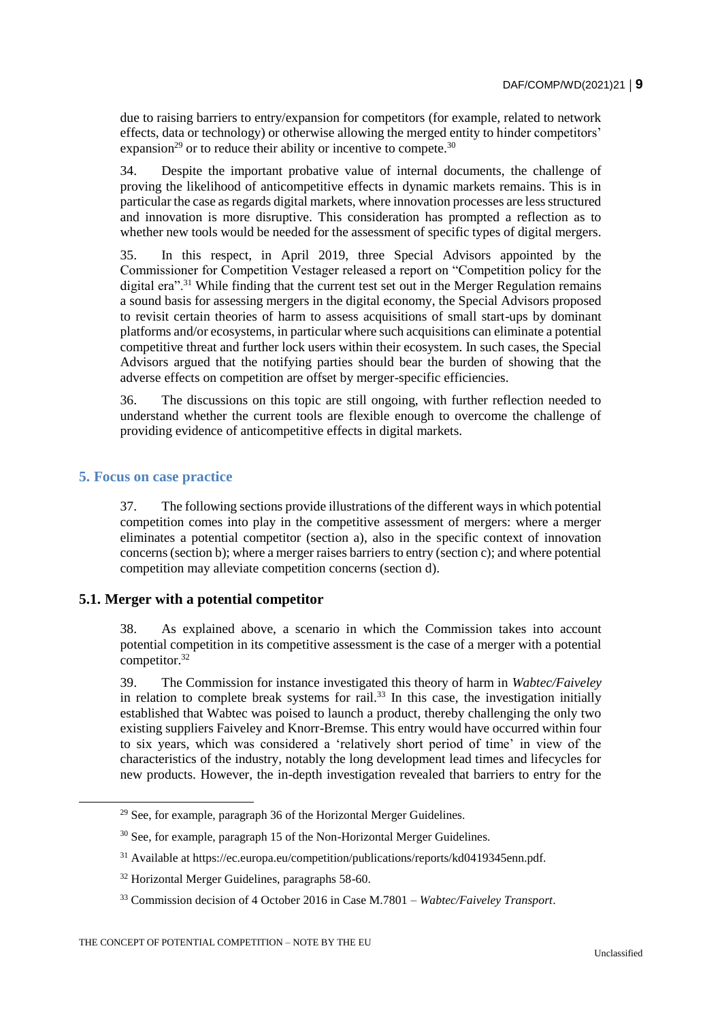due to raising barriers to entry/expansion for competitors (for example, related to network effects, data or technology) or otherwise allowing the merged entity to hinder competitors' expansion<sup>29</sup> or to reduce their ability or incentive to compete.<sup>30</sup>

34. Despite the important probative value of internal documents, the challenge of proving the likelihood of anticompetitive effects in dynamic markets remains. This is in particular the case as regards digital markets, where innovation processes are less structured and innovation is more disruptive. This consideration has prompted a reflection as to whether new tools would be needed for the assessment of specific types of digital mergers.

35. In this respect, in April 2019, three Special Advisors appointed by the Commissioner for Competition Vestager released a report on "Competition policy for the digital era".<sup>31</sup> While finding that the current test set out in the Merger Regulation remains a sound basis for assessing mergers in the digital economy, the Special Advisors proposed to revisit certain theories of harm to assess acquisitions of small start-ups by dominant platforms and/or ecosystems, in particular where such acquisitions can eliminate a potential competitive threat and further lock users within their ecosystem. In such cases, the Special Advisors argued that the notifying parties should bear the burden of showing that the adverse effects on competition are offset by merger-specific efficiencies.

36. The discussions on this topic are still ongoing, with further reflection needed to understand whether the current tools are flexible enough to overcome the challenge of providing evidence of anticompetitive effects in digital markets.

# **5. Focus on case practice**

37. The following sections provide illustrations of the different ways in which potential competition comes into play in the competitive assessment of mergers: where a merger eliminates a potential competitor (section a), also in the specific context of innovation concerns (section b); where a merger raises barriers to entry (section c); and where potential competition may alleviate competition concerns (section d).

#### **5.1. Merger with a potential competitor**

38. As explained above, a scenario in which the Commission takes into account potential competition in its competitive assessment is the case of a merger with a potential  $\overline{\text{compactitor}}^{32}$ 

39. The Commission for instance investigated this theory of harm in *Wabtec/Faiveley* in relation to complete break systems for rail.<sup>33</sup> In this case, the investigation initially established that Wabtec was poised to launch a product, thereby challenging the only two existing suppliers Faiveley and Knorr-Bremse. This entry would have occurred within four to six years, which was considered a 'relatively short period of time' in view of the characteristics of the industry, notably the long development lead times and lifecycles for new products. However, the in-depth investigation revealed that barriers to entry for the

 $29$  See, for example, paragraph 36 of the Horizontal Merger Guidelines.

<sup>&</sup>lt;sup>30</sup> See, for example, paragraph 15 of the Non-Horizontal Merger Guidelines.

<sup>31</sup> Available at https://ec.europa.eu/competition/publications/reports/kd0419345enn.pdf.

<sup>32</sup> Horizontal Merger Guidelines, paragraphs 58-60.

<sup>33</sup> Commission decision of 4 October 2016 in Case M.7801 – *Wabtec/Faiveley Transport*.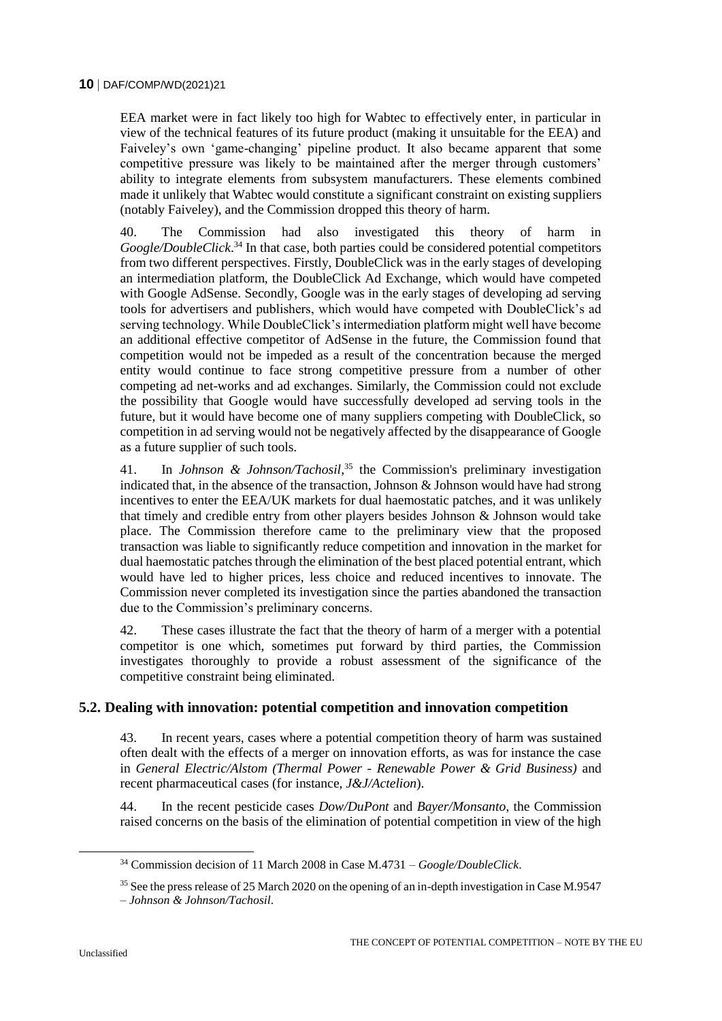EEA market were in fact likely too high for Wabtec to effectively enter, in particular in view of the technical features of its future product (making it unsuitable for the EEA) and Faiveley's own 'game-changing' pipeline product. It also became apparent that some competitive pressure was likely to be maintained after the merger through customers' ability to integrate elements from subsystem manufacturers. These elements combined made it unlikely that Wabtec would constitute a significant constraint on existing suppliers (notably Faiveley), and the Commission dropped this theory of harm.

40. The Commission had also investigated this theory of harm in Google/DoubleClick.<sup>34</sup> In that case, both parties could be considered potential competitors from two different perspectives. Firstly, DoubleClick was in the early stages of developing an intermediation platform, the DoubleClick Ad Exchange, which would have competed with Google AdSense. Secondly, Google was in the early stages of developing ad serving tools for advertisers and publishers, which would have competed with DoubleClick's ad serving technology. While DoubleClick's intermediation platform might well have become an additional effective competitor of AdSense in the future, the Commission found that competition would not be impeded as a result of the concentration because the merged entity would continue to face strong competitive pressure from a number of other competing ad net-works and ad exchanges. Similarly, the Commission could not exclude the possibility that Google would have successfully developed ad serving tools in the future, but it would have become one of many suppliers competing with DoubleClick, so competition in ad serving would not be negatively affected by the disappearance of Google as a future supplier of such tools.

41. In *Johnson & Johnson/Tachosil*, <sup>35</sup> the Commission's preliminary investigation indicated that, in the absence of the transaction, Johnson & Johnson would have had strong incentives to enter the EEA/UK markets for dual haemostatic patches, and it was unlikely that timely and credible entry from other players besides Johnson & Johnson would take place. The Commission therefore came to the preliminary view that the proposed transaction was liable to significantly reduce competition and innovation in the market for dual haemostatic patches through the elimination of the best placed potential entrant, which would have led to higher prices, less choice and reduced incentives to innovate. The Commission never completed its investigation since the parties abandoned the transaction due to the Commission's preliminary concerns.

42. These cases illustrate the fact that the theory of harm of a merger with a potential competitor is one which, sometimes put forward by third parties, the Commission investigates thoroughly to provide a robust assessment of the significance of the competitive constraint being eliminated.

# **5.2. Dealing with innovation: potential competition and innovation competition**

43. In recent years, cases where a potential competition theory of harm was sustained often dealt with the effects of a merger on innovation efforts, as was for instance the case in *General Electric/Alstom (Thermal Power - Renewable Power & Grid Business)* and recent pharmaceutical cases (for instance, *J&J/Actelion*).

44. In the recent pesticide cases *Dow/DuPont* and *Bayer/Monsanto*, the Commission raised concerns on the basis of the elimination of potential competition in view of the high

<sup>34</sup> Commission decision of 11 March 2008 in Case M.4731 – *Google/DoubleClick*.

<sup>&</sup>lt;sup>35</sup> See the press release of 25 March 2020 on the opening of an in-depth investigation in Case M.9547

<sup>–</sup> *Johnson & Johnson/Tachosil*.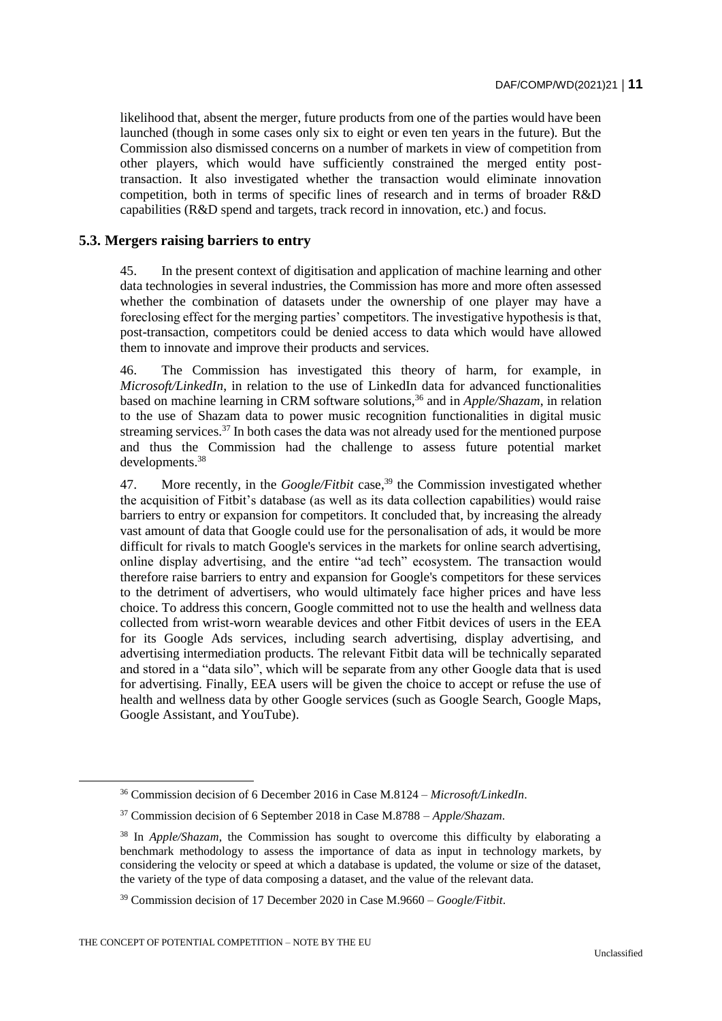likelihood that, absent the merger, future products from one of the parties would have been launched (though in some cases only six to eight or even ten years in the future). But the Commission also dismissed concerns on a number of markets in view of competition from other players, which would have sufficiently constrained the merged entity posttransaction. It also investigated whether the transaction would eliminate innovation competition, both in terms of specific lines of research and in terms of broader R&D capabilities (R&D spend and targets, track record in innovation, etc.) and focus.

### **5.3. Mergers raising barriers to entry**

45. In the present context of digitisation and application of machine learning and other data technologies in several industries, the Commission has more and more often assessed whether the combination of datasets under the ownership of one player may have a foreclosing effect for the merging parties' competitors. The investigative hypothesis is that, post-transaction, competitors could be denied access to data which would have allowed them to innovate and improve their products and services.

46. The Commission has investigated this theory of harm, for example, in *Microsoft/LinkedIn*, in relation to the use of LinkedIn data for advanced functionalities based on machine learning in CRM software solutions,<sup>36</sup> and in *Apple/Shazam*, in relation to the use of Shazam data to power music recognition functionalities in digital music streaming services.<sup>37</sup> In both cases the data was not already used for the mentioned purpose and thus the Commission had the challenge to assess future potential market developments.<sup>38</sup>

47. More recently, in the *Google/Fitbit* case,<sup>39</sup> the Commission investigated whether the acquisition of Fitbit's database (as well as its data collection capabilities) would raise barriers to entry or expansion for competitors. It concluded that, by increasing the already vast amount of data that Google could use for the personalisation of ads, it would be more difficult for rivals to match Google's services in the markets for online search advertising, online display advertising, and the entire "ad tech" ecosystem. The transaction would therefore raise barriers to entry and expansion for Google's competitors for these services to the detriment of advertisers, who would ultimately face higher prices and have less choice. To address this concern, Google committed not to use the health and wellness data collected from wrist-worn wearable devices and other Fitbit devices of users in the EEA for its Google Ads services, including search advertising, display advertising, and advertising intermediation products. The relevant Fitbit data will be technically separated and stored in a "data silo", which will be separate from any other Google data that is used for advertising. Finally, EEA users will be given the choice to accept or refuse the use of health and wellness data by other Google services (such as Google Search, Google Maps, Google Assistant, and YouTube).

<sup>36</sup> Commission decision of 6 December 2016 in Case M.8124 – *Microsoft/LinkedIn*.

<sup>37</sup> Commission decision of 6 September 2018 in Case M.8788 – *Apple/Shazam*.

<sup>38</sup> In *Apple/Shazam*, the Commission has sought to overcome this difficulty by elaborating a benchmark methodology to assess the importance of data as input in technology markets, by considering the velocity or speed at which a database is updated, the volume or size of the dataset, the variety of the type of data composing a dataset, and the value of the relevant data.

<sup>39</sup> Commission decision of 17 December 2020 in Case M.9660 – *Google/Fitbit*.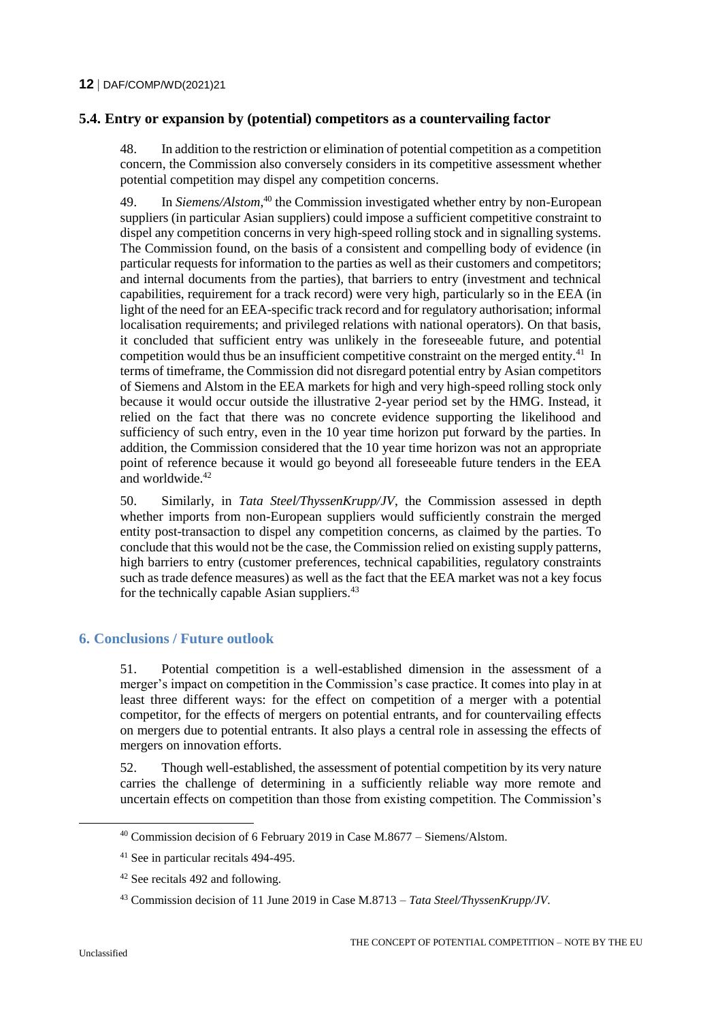# **5.4. Entry or expansion by (potential) competitors as a countervailing factor**

48. In addition to the restriction or elimination of potential competition as a competition concern, the Commission also conversely considers in its competitive assessment whether potential competition may dispel any competition concerns.

49. In *Siemens/Alstom*,<sup>40</sup> the Commission investigated whether entry by non-European suppliers (in particular Asian suppliers) could impose a sufficient competitive constraint to dispel any competition concerns in very high-speed rolling stock and in signalling systems. The Commission found, on the basis of a consistent and compelling body of evidence (in particular requests for information to the parties as well as their customers and competitors; and internal documents from the parties), that barriers to entry (investment and technical capabilities, requirement for a track record) were very high, particularly so in the EEA (in light of the need for an EEA-specific track record and for regulatory authorisation; informal localisation requirements; and privileged relations with national operators). On that basis, it concluded that sufficient entry was unlikely in the foreseeable future, and potential competition would thus be an insufficient competitive constraint on the merged entity.<sup>41</sup> In terms of timeframe, the Commission did not disregard potential entry by Asian competitors of Siemens and Alstom in the EEA markets for high and very high-speed rolling stock only because it would occur outside the illustrative 2-year period set by the HMG. Instead, it relied on the fact that there was no concrete evidence supporting the likelihood and sufficiency of such entry, even in the 10 year time horizon put forward by the parties. In addition, the Commission considered that the 10 year time horizon was not an appropriate point of reference because it would go beyond all foreseeable future tenders in the EEA and worldwide.<sup>42</sup>

50. Similarly, in *Tata Steel/ThyssenKrupp/JV*, the Commission assessed in depth whether imports from non-European suppliers would sufficiently constrain the merged entity post-transaction to dispel any competition concerns, as claimed by the parties. To conclude that this would not be the case, the Commission relied on existing supply patterns, high barriers to entry (customer preferences, technical capabilities, regulatory constraints such as trade defence measures) as well as the fact that the EEA market was not a key focus for the technically capable Asian suppliers.<sup>43</sup>

# **6. Conclusions / Future outlook**

51. Potential competition is a well-established dimension in the assessment of a merger's impact on competition in the Commission's case practice. It comes into play in at least three different ways: for the effect on competition of a merger with a potential competitor, for the effects of mergers on potential entrants, and for countervailing effects on mergers due to potential entrants. It also plays a central role in assessing the effects of mergers on innovation efforts.

52. Though well-established, the assessment of potential competition by its very nature carries the challenge of determining in a sufficiently reliable way more remote and uncertain effects on competition than those from existing competition. The Commission's

<sup>40</sup> Commission decision of 6 February 2019 in Case M.8677 – Siemens/Alstom.

<sup>41</sup> See in particular recitals 494-495.

<sup>42</sup> See recitals 492 and following.

<sup>43</sup> Commission decision of 11 June 2019 in Case M.8713 – *Tata Steel/ThyssenKrupp/JV*.